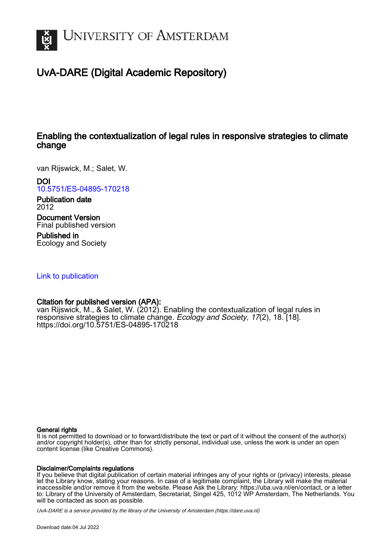

# UvA-DARE (Digital Academic Repository)

# Enabling the contextualization of legal rules in responsive strategies to climate change

van Rijswick, M.; Salet, W.

DOI

[10.5751/ES-04895-170218](https://doi.org/10.5751/ES-04895-170218)

Publication date 2012

Document Version Final published version

Published in Ecology and Society

[Link to publication](https://dare.uva.nl/personal/pure/en/publications/enabling-the-contextualization-of-legal-rules-in-responsive-strategies-to-climate-change(3284e85c-3844-415a-ba51-f3db27a9ba2d).html)

# Citation for published version (APA):

van Rijswick, M., & Salet, W. (2012). Enabling the contextualization of legal rules in responsive strategies to climate change. Ecology and Society, 17(2), 18. [18]. <https://doi.org/10.5751/ES-04895-170218>

# General rights

It is not permitted to download or to forward/distribute the text or part of it without the consent of the author(s) and/or copyright holder(s), other than for strictly personal, individual use, unless the work is under an open content license (like Creative Commons).

# Disclaimer/Complaints regulations

If you believe that digital publication of certain material infringes any of your rights or (privacy) interests, please let the Library know, stating your reasons. In case of a legitimate complaint, the Library will make the material inaccessible and/or remove it from the website. Please Ask the Library: https://uba.uva.nl/en/contact, or a letter to: Library of the University of Amsterdam, Secretariat, Singel 425, 1012 WP Amsterdam, The Netherlands. You will be contacted as soon as possible.

UvA-DARE is a service provided by the library of the University of Amsterdam (http*s*://dare.uva.nl)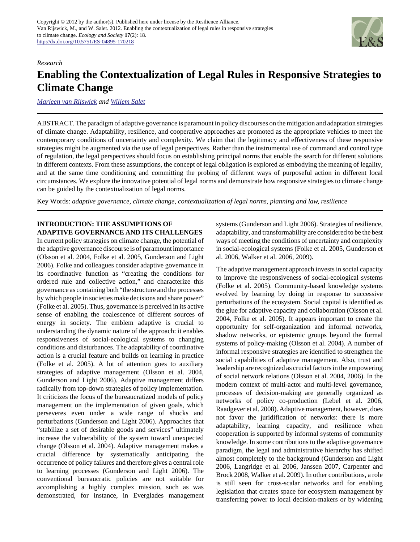

#### *Research*

# **Enabling the Contextualization of Legal Rules in Responsive Strategies to Climate Change**

*[Marleen van Rijswick](mailto:H.vanRijswick@law.uu.nl) and [Willem Salet](mailto:w.g.m.salet@uva.nl)*

ABSTRACT. The paradigm of adaptive governance is paramount in policy discourses on the mitigation and adaptation strategies of climate change. Adaptability, resilience, and cooperative approaches are promoted as the appropriate vehicles to meet the contemporary conditions of uncertainty and complexity. We claim that the legitimacy and effectiveness of these responsive strategies might be augmented via the use of legal perspectives. Rather than the instrumental use of command and control type of regulation, the legal perspectives should focus on establishing principal norms that enable the search for different solutions in different contexts. From these assumptions, the concept of legal obligation is explored as embodying the meaning of legality, and at the same time conditioning and committing the probing of different ways of purposeful action in different local circumstances. We explore the innovative potential of legal norms and demonstrate how responsive strategies to climate change can be guided by the contextualization of legal norms.

Key Words: *adaptive governance, climate change, contextualization of legal norms, planning and law, resilience*

# **INTRODUCTION: THE ASSUMPTIONS OF ADAPTIVE GOVERNANCE AND ITS CHALLENGES**

In current policy strategies on climate change, the potential of the adaptive governance discourse is of paramount importance (Olsson et al. 2004, Folke et al. 2005, Gunderson and Light 2006). Folke and colleagues consider adaptive governance in its coordinative function as "creating the conditions for ordered rule and collective action," and characterize this governance as containing both "the structure and the processes by which people in societies make decisions and share power" (Folke et al. 2005). Thus, governance is perceived in its active sense of enabling the coalescence of different sources of energy in society. The emblem adaptive is crucial to understanding the dynamic nature of the approach: it enables responsiveness of social-ecological systems to changing conditions and disturbances. The adaptability of coordinative action is a crucial feature and builds on learning in practice (Folke et al. 2005). A lot of attention goes to auxiliary strategies of adaptive management (Olsson et al. 2004, Gunderson and Light 2006). Adaptive management differs radically from top-down strategies of policy implementation. It criticizes the focus of the bureaucratized models of policy management on the implementation of given goals, which perseveres even under a wide range of shocks and perturbations (Gunderson and Light 2006). Approaches that "stabilize a set of desirable goods and services" ultimately increase the vulnerability of the system toward unexpected change (Olsson et al. 2004). Adaptive management makes a crucial difference by systematically anticipating the occurrence of policy failures and therefore gives a central role to learning processes (Gunderson and Light 2006). The conventional bureaucratic policies are not suitable for accomplishing a highly complex mission, such as was demonstrated, for instance, in Everglades management

systems (Gunderson and Light 2006). Strategies of resilience, adaptability, and transformability are considered to be the best ways of meeting the conditions of uncertainty and complexity in social-ecological systems (Folke et al. 2005, Gunderson et al. 2006, Walker et al. 2006, 2009).

The adaptive management approach invests in social capacity to improve the responsiveness of social-ecological systems (Folke et al. 2005). Community-based knowledge systems evolved by learning by doing in response to successive perturbations of the ecosystem. Social capital is identified as the glue for adaptive capacity and collaboration (Olsson et al. 2004, Folke et al. 2005). It appears important to create the opportunity for self-organization and informal networks, shadow networks, or epistemic groups beyond the formal systems of policy-making (Olsson et al. 2004). A number of informal responsive strategies are identified to strengthen the social capabilities of adaptive management. Also, trust and leadership are recognized as crucial factors in the empowering of social network relations (Olsson et al. 2004, 2006). In the modern context of multi-actor and multi-level governance, processes of decision-making are generally organized as networks of policy co-production (Lebel et al. 2006, Raadgever et al. 2008). Adaptive management, however, does not favor the juridification of networks: there is more adaptability, learning capacity, and resilience when cooperation is supported by informal systems of community knowledge. In some contributions to the adaptive governance paradigm, the legal and administrative hierarchy has shifted almost completely to the background (Gunderson and Light 2006, Langridge et al. 2006, Janssen 2007, Carpenter and Brock 2008, Walker et al. 2009). In other contributions, a role is still seen for cross-scalar networks and for enabling legislation that creates space for ecosystem management by transferring power to local decision-makers or by widening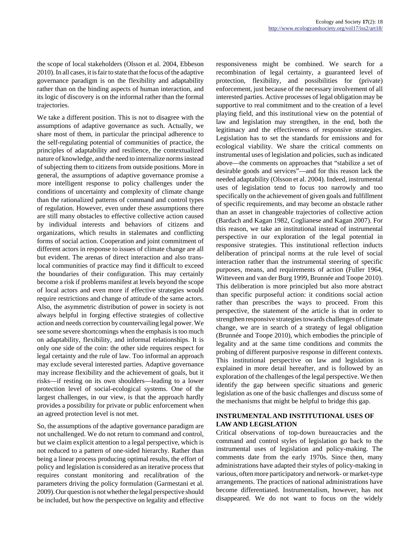the scope of local stakeholders (Olsson et al. 2004, Ebbeson 2010). In all cases, it is fair to state that the focus of the adaptive governance paradigm is on the flexibility and adaptability rather than on the binding aspects of human interaction, and its logic of discovery is on the informal rather than the formal trajectories.

We take a different position. This is not to disagree with the assumptions of adaptive governance as such. Actually, we share most of them, in particular the principal adherence to the self-regulating potential of communities of practice, the principles of adaptability and resilience, the contextualized nature of knowledge, and the need to internalize norms instead of subjecting them to citizens from outside positions. More in general, the assumptions of adaptive governance promise a more intelligent response to policy challenges under the conditions of uncertainty and complexity of climate change than the rationalized patterns of command and control types of regulation. However, even under these assumptions there are still many obstacles to effective collective action caused by individual interests and behaviors of citizens and organizations, which results in stalemates and conflicting forms of social action. Cooperation and joint commitment of different actors in response to issues of climate change are all but evident. The arenas of direct interaction and also translocal communities of practice may find it difficult to exceed the boundaries of their configuration. This may certainly become a risk if problems manifest at levels beyond the scope of local actors and even more if effective strategies would require restrictions and change of attitude of the same actors. Also, the asymmetric distribution of power in society is not always helpful in forging effective strategies of collective action and needs correction by countervailing legal power. We see some severe shortcomings when the emphasis is too much on adaptability, flexibility, and informal relationships. It is only one side of the coin: the other side requires respect for legal certainty and the rule of law. Too informal an approach may exclude several interested parties. Adaptive governance may increase flexibility and the achievement of goals, but it risks—if resting on its own shoulders—leading to a lower protection level of social-ecological systems. One of the largest challenges, in our view, is that the approach hardly provides a possibility for private or public enforcement when an agreed protection level is not met.

So, the assumptions of the adaptive governance paradigm are not unchallenged. We do not return to command and control, but we claim explicit attention to a legal perspective, which is not reduced to a pattern of one-sided hierarchy. Rather than being a linear process producing optimal results, the effort of policy and legislation is considered as an iterative process that requires constant monitoring and recalibration of the parameters driving the policy formulation (Garmestani et al. 2009). Our question is not whether the legal perspective should be included, but how the perspective on legality and effective responsiveness might be combined. We search for a recombination of legal certainty, a guaranteed level of protection, flexibility, and possibilities for (private) enforcement, just because of the necessary involvement of all interested parties. Active processes of legal obligation may be supportive to real commitment and to the creation of a level playing field, and this institutional view on the potential of law and legislation may strengthen, in the end, both the legitimacy and the effectiveness of responsive strategies. Legislation has to set the standards for emissions and for ecological viability. We share the critical comments on instrumental uses of legislation and policies, such as indicated above—the comments on approaches that "stabilize a set of desirable goods and services"—and for this reason lack the needed adaptability (Olsson et al. 2004). Indeed, instrumental uses of legislation tend to focus too narrowly and too specifically on the achievement of given goals and fulfillment of specific requirements, and may become an obstacle rather than an asset in changeable trajectories of collective action (Bardach and Kagan 1982, Coglianese and Kagan 2007). For this reason, we take an institutional instead of instrumental perspective in our exploration of the legal potential in responsive strategies. This institutional reflection inducts deliberation of principal norms at the rule level of social interaction rather than the instrumental steering of specific purposes, means, and requirements of action (Fuller 1964, Witteveen and van der Burg 1999, Brunnée and Toope 2010). This deliberation is more principled but also more abstract than specific purposeful action: it conditions social action rather than prescribes the ways to proceed. From this perspective, the statement of the article is that in order to strengthen responsive strategies towards challenges of climate change, we are in search of a strategy of legal obligation (Brunnée and Toope 2010), which embodies the principle of legality and at the same time conditions and commits the probing of different purposive response in different contexts. This institutional perspective on law and legislation is explained in more detail hereafter, and is followed by an exploration of the challenges of the legal perspective. We then identify the gap between specific situations and generic legislation as one of the basic challenges and discuss some of the mechanisms that might be helpful to bridge this gap.

# **INSTRUMENTAL AND INSTITUTIONAL USES OF LAW AND LEGISLATION**

Critical observations of top-down bureaucracies and the command and control styles of legislation go back to the instrumental uses of legislation and policy-making. The comments date from the early 1970s. Since then, many administrations have adapted their styles of policy-making in various, often more participatory and network- or market-type arrangements. The practices of national administrations have become differentiated. Instrumentalism, however, has not disappeared. We do not want to focus on the widely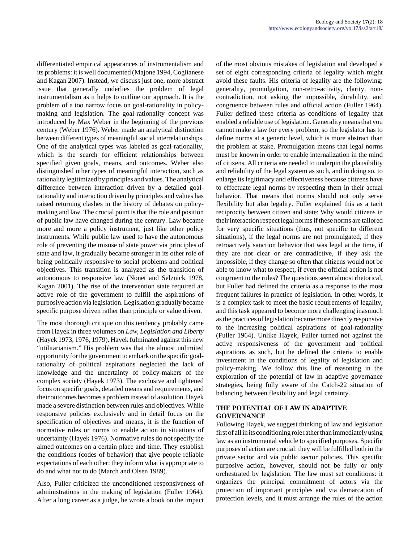differentiated empirical appearances of instrumentalism and its problems: it is well documented (Majone 1994, Coglianese and Kagan 2007). Instead, we discuss just one, more abstract issue that generally underlies the problem of legal instrumentalism as it helps to outline our approach. It is the problem of a too narrow focus on goal-rationality in policymaking and legislation. The goal-rationality concept was introduced by Max Weber in the beginning of the previous century (Weber 1976). Weber made an analytical distinction between different types of meaningful social interrelationships. One of the analytical types was labeled as goal-rationality, which is the search for efficient relationships between specified given goals, means, and outcomes. Weber also distinguished other types of meaningful interaction, such as rationality legitimized by principles and values. The analytical difference between interaction driven by a detailed goalrationality and interaction driven by principles and values has raised returning clashes in the history of debates on policymaking and law. The crucial point is that the role and position of public law have changed during the century. Law became more and more a policy instrument, just like other policy instruments. While public law used to have the autonomous role of preventing the misuse of state power via principles of state and law, it gradually became stronger in its other role of being politically responsive to social problems and political objectives. This transition is analyzed as the transition of autonomous to responsive law (Nonet and Selznick 1978, Kagan 2001). The rise of the intervention state required an active role of the government to fulfill the aspirations of purposive action via legislation. Legislation gradually became specific purpose driven rather than principle or value driven.

The most thorough critique on this tendency probably came from Hayek in three volumes on *Law, Legislation and Liberty* (Hayek 1973, 1976, 1979). Hayek fulminated against this new "utilitarianism." His problem was that the almost unlimited opportunity for the government to embark on the specific goalrationality of political aspirations neglected the lack of knowledge and the uncertainty of policy-makers of the complex society (Hayek 1973). The exclusive and tightened focus on specific goals, detailed means and requirements, and their outcomes becomes a problem instead of a solution. Hayek made a severe distinction between rules and objectives. While responsive policies exclusively and in detail focus on the specification of objectives and means, it is the function of normative rules or norms to enable action in situations of uncertainty (Hayek 1976). Normative rules do not specify the aimed outcomes on a certain place and time. They establish the conditions (codes of behavior) that give people reliable expectations of each other: they inform what is appropriate to do and what not to do (March and Olsen 1989).

Also, Fuller criticized the unconditioned responsiveness of administrations in the making of legislation (Fuller 1964). After a long career as a judge, he wrote a book on the impact of the most obvious mistakes of legislation and developed a set of eight corresponding criteria of legality which might avoid these faults. His criteria of legality are the following: generality, promulgation, non-retro-activity, clarity, noncontradiction, not asking the impossible, durability, and congruence between rules and official action (Fuller 1964). Fuller defined these criteria as conditions of legality that enabled a reliable use of legislation. Generality means that you cannot make a law for every problem, so the legislator has to define norms at a generic level, which is more abstract than the problem at stake. Promulgation means that legal norms must be known in order to enable internalization in the mind of citizens. All criteria are needed to underpin the plausibility and reliability of the legal system as such, and in doing so, to enlarge its legitimacy and effectiveness because citizens have to effectuate legal norms by respecting them in their actual behavior. That means that norms should not only serve flexibility but also legality. Fuller explained this as a tacit reciprocity between citizen and state: Why would citizens in their interaction respect legal norms if these norms are tailored for very specific situations (thus, not specific to different situations), if the legal norms are not promulgated, if they retroactively sanction behavior that was legal at the time, if they are not clear or are contradictive, if they ask the impossible, if they change so often that citizens would not be able to know what to respect, if even the official action is not congruent to the rules? The questions seem almost rhetorical, but Fuller had defined the criteria as a response to the most frequent failures in practice of legislation. In other words, it is a complex task to meet the basic requirements of legality, and this task appeared to become more challenging inasmuch as the practices of legislation became more directly responsive to the increasing political aspirations of goal-rationality (Fuller 1964). Unlike Hayek, Fuller turned not against the active responsiveness of the government and political aspirations as such, but he defined the criteria to enable investment in the conditions of legality of legislation and policy-making. We follow this line of reasoning in the exploration of the potential of law in adaptive governance strategies, being fully aware of the Catch-22 situation of balancing between flexibility and legal certainty.

# **THE POTENTIAL OF LAW IN ADAPTIVE GOVERNANCE**

Following Hayek, we suggest thinking of law and legislation first of all in its conditioning role rather than immediately using law as an instrumental vehicle to specified purposes. Specific purposes of action are crucial: they will be fulfilled both in the private sector and via public sector policies. This specific purposive action, however, should not be fully or only orchestrated by legislation. The law must set conditions: it organizes the principal commitment of actors via the protection of important principles and via demarcation of protection levels, and it must arrange the rules of the action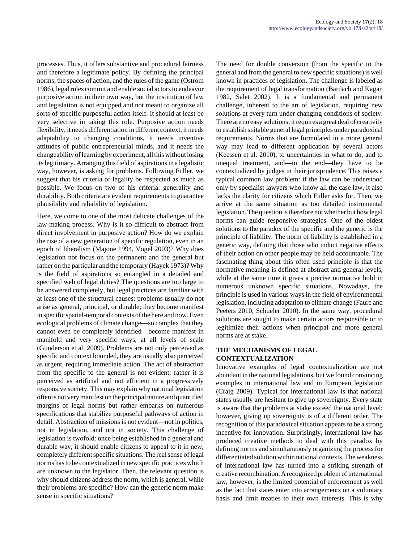processes. Thus, it offers substantive and procedural fairness and therefore a legitimate policy. By defining the principal norms, the spaces of action, and the rules of the game (Ostrom 1986), legal rules commit and enable social actors to endeavor purposive action in their own way, but the institution of law and legislation is not equipped and not meant to organize all sorts of specific purposeful action itself. It should at least be very selective in taking this role. Purposive action needs flexibility, it needs differentiation in different context, it needs adaptability to changing conditions, it needs inventive attitudes of public entrepreneurial minds, and it needs the changeability of learning by experiment, all this without losing its legitimacy. Arranging this field of aspirations in a legalistic way, however, is asking for problems. Following Fuller, we suggest that his criteria of legality be respected as much as possible. We focus on two of his criteria: generality and durability. Both criteria are evident requirements to guarantee plausibility and reliability of legislation.

Here, we come to one of the most delicate challenges of the law-making process. Why is it so difficult to abstract from direct involvement in purposive action? How do we explain the rise of a new generation of specific regulation, even in an epoch of liberalism (Majone 1994, Vogel 2003)? Why does legislation not focus on the permanent and the general but rather on the particular and the temporary (Hayek 1973)? Why is the field of aspirations so entangled in a detailed and specified web of legal duties? The questions are too large to be answered completely, but legal practices are familiar with at least one of the structural causes: problems usually do not arise as general, principal, or durable; they become manifest in specific spatial-temporal contexts of the here and now. Even ecological problems of climate change—so complex that they cannot even be completely identified—become manifest in manifold and very specific ways, at all levels of scale (Gunderson et al. 2009). Problems are not only perceived as specific and context bounded, they are usually also perceived as urgent, requiring immediate action. The act of abstraction from the specific to the general is not evident; rather it is perceived as artificial and not efficient in a progressively responsive society. This may explain why national legislation often is not very manifest on the principal nature and quantified margins of legal norms but rather embarks on numerous specifications that stabilize purposeful pathways of action in detail. Abstraction of missions is not evident—not in politics, not in legislation, and not in society. This challenge of legislation is twofold: once being established in a general and durable way, it should enable citizens to appeal to it in new, completely different specific situations. The real sense of legal norms has to be contextualized in new specific practices which are unknown to the legislator. Then, the relevant question is why should citizens address the norm, which is general, while their problems are specific? How can the generic norm make sense in specific situations?

The need for double conversion (from the specific to the general and from the general to new specific situations) is well known in practices of legislation. The challenge is labeled as the requirement of legal transformation (Bardach and Kagan 1982, Salet 2002). It is a fundamental and permanent challenge, inherent to the art of legislation, requiring new solutions at every turn under changing conditions of society. There are no easy solutions: it requires a great deal of creativity to establish suitable general legal principles under paradoxical requirements. Norms that are formulated in a more general way may lead to different application by several actors (Keessen et al. 2010), to uncertainties in what to do, and to unequal treatment, and—in the end—they have to be contextualized by judges in their jurisprudence. This raises a typical common law problem: if the law can be understood only by specialist lawyers who know all the case law, it also lacks the clarity for citizens which Fuller asks for. Then, we arrive at the same situation as too detailed instrumental legislation. The question is therefore not whether but how legal norms can guide responsive strategies. One of the oldest solutions to the paradox of the specific and the generic is the principle of liability. The norm of liability is established in a generic way, defining that those who induct negative effects of their action on other people may be held accountable. The fascinating thing about this often used principle is that the normative meaning is defined at abstract and general levels, while at the same time it gives a precise normative hold in numerous unknown specific situations. Nowadays, the principle is used in various ways in the field of environmental legislation, including adaptation to climate change (Faure and Peeters 2010, Schueler 2010). In the same way, procedural solutions are sought to make certain actors responsible or to legitimize their actions when principal and more general norms are at stake.

### **THE MECHANISMS OF LEGAL CONTEXTUALIZATION**

Innovative examples of legal contextualization are not abundant in the national legislations, but we found convincing examples in international law and in European legislation (Craig 2009). Typical for international law is that national states usually are hesitant to give up sovereignty. Every state is aware that the problems at stake exceed the national level; however, giving up sovereignty is of a different order. The recognition of this paradoxical situation appears to be a strong incentive for innovation. Surprisingly, international law has produced creative methods to deal with this paradox by defining norms and simultaneously organizing the process for differentiated solution within national contexts. The weakness of international law has turned into a striking strength of creative recombination. A recognized problem of international law, however, is the limited potential of enforcement as well as the fact that states enter into arrangements on a voluntary basis and limit treaties to their own interests. This is why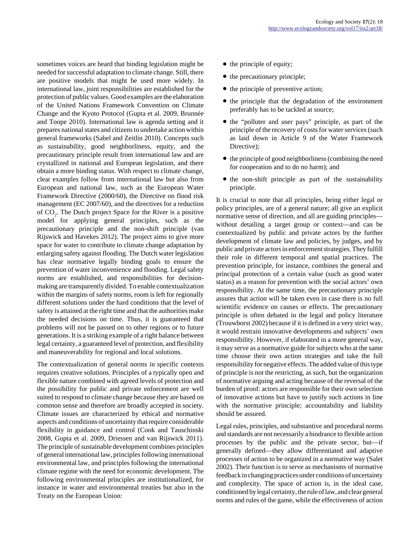sometimes voices are heard that binding legislation might be needed for successful adaptation to climate change. Still, there are positive models that might be used more widely. In international law, joint responsibilities are established for the protection of public values. Good examples are the elaboration of the United Nations Framework Convention on Climate Change and the Kyoto Protocol (Gupta et al. 2009, Brunnée and Toope 2010). International law is agenda setting and it prepares national states and citizens to undertake action within general frameworks (Sabel and Zeitlin 2010). Concepts such as sustainability, good neighborliness, equity, and the precautionary principle result from international law and are crystallized in national and European legislation, and there obtain a more binding status. With respect to climate change, clear examples follow from international law but also from European and national law, such as the European Water Framework Directive (2000/60), the Directive on flood risk management (EC 2007/60), and the directives for a reduction of  $CO<sub>2</sub>$ . The Dutch project Space for the River is a positive model for applying general principles, such as the precautionary principle and the non-shift principle (van Rijswick and Havekes 2012). The project aims to give more space for water to contribute to climate change adaptation by enlarging safety against flooding. The Dutch water legislation has clear normative legally binding goals to ensure the prevention of water inconvenience and flooding. Legal safety norms are established, and responsibilities for decisionmaking are transparently divided. To enable contextualization within the margins of safety norms, room is left for regionally different solutions under the hard conditions that the level of safety is attained at the right time and that the authorities make the needed decisions on time. Thus, it is guaranteed that problems will not be passed on to other regions or to future generations. It is a striking example of a right balance between legal certainty, a guaranteed level of protection, and flexibility and maneuverability for regional and local solutions.

The contextualization of general norms in specific contexts requires creative solutions. Principles of a typically open and flexible nature combined with agreed levels of protection and the possibility for public and private enforcement are well suited to respond to climate change because they are based on common sense and therefore are broadly accepted in society. Climate issues are characterized by ethical and normative aspects and conditions of uncertainty that require considerable flexibility in guidance and control (Cook and Tauschinski 2008, Gupta et al. 2009, Driessen and van Rijswick 2011). The principle of sustainable development combines principles of general international law, principles following international environmental law, and principles following the international climate regime with the need for economic development. The following environmental principles are institutionalized, for instance in water and environmental treaties but also in the Treaty on the European Union:

- the principle of equity;
- the precautionary principle;
- the principle of preventive action;
- the principle that the degradation of the environment preferably has to be tackled at source;
- the "polluter and user pays" principle, as part of the principle of the recovery of costs for water services (such as laid down in Article 9 of the Water Framework Directive);
- the principle of good neighborliness (combining the need for cooperation and to do no harm); and
- the non-shift principle as part of the sustainability principle.

It is crucial to note that all principles, being either legal or policy principles, are of a general nature; all give an explicit normative sense of direction, and all are guiding principles without detailing a target group or context—and can be contextualized by public and private actors by the further development of climate law and policies, by judges, and by public and private actors in enforcement strategies. They fulfill their role in different temporal and spatial practices. The prevention principle, for instance, combines the general and principal protection of a certain value (such as good water status) as a reason for prevention with the social actors' own responsibility. At the same time, the precautionary principle assures that action will be taken even in case there is no full scientific evidence on causes or effects. The precautionary principle is often debated in the legal and policy literature (Trouwborst 2002) because if it is defined in a very strict way, it would restrain innovative developments and subjects' own responsibility. However, if elaborated in a more general way, it may serve as a normative guide for subjects who at the same time choose their own action strategies and take the full responsibility for negative effects. The added value of this type of principle is not the restricting, as such, but the organization of normative arguing and acting because of the reversal of the burden of proof: actors are responsible for their own selection of innovative actions but have to justify such actions in line with the normative principle; accountability and liability should be assured.

Legal rules, principles, and substantive and procedural norms and standards are not necessarily a hindrance to flexible action processes by the public and the private sector, but—if generally defined—they allow differentiated and adaptive processes of action to be organized in a normative way (Salet 2002). Their function is to serve as mechanisms of normative feedback in changing practices under conditions of uncertainty and complexity. The space of action is, in the ideal case, conditioned by legal certainty, the rule of law, and clear general norms and rules of the game, while the effectiveness of action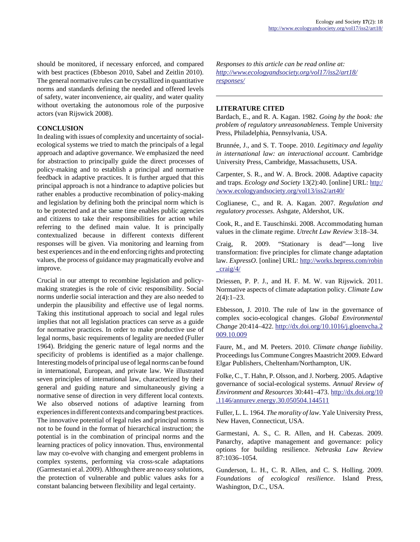should be monitored, if necessary enforced, and compared with best practices (Ebbeson 2010, Sabel and Zeitlin 2010). The general normative rules can be crystallized in quantitative norms and standards defining the needed and offered levels of safety, water inconvenience, air quality, and water quality without overtaking the autonomous role of the purposive actors (van Rijswick 2008).

## **CONCLUSION**

In dealing with issues of complexity and uncertainty of socialecological systems we tried to match the principals of a legal approach and adaptive governance. We emphasized the need for abstraction to principally guide the direct processes of policy-making and to establish a principal and normative feedback in adaptive practices. It is further argued that this principal approach is not a hindrance to adaptive policies but rather enables a productive recombination of policy-making and legislation by defining both the principal norm which is to be protected and at the same time enables public agencies and citizens to take their responsibilities for action while referring to the defined main value. It is principally contextualized because in different contexts different responses will be given. Via monitoring and learning from best experiences and in the end enforcing rights and protecting values, the process of guidance may pragmatically evolve and improve.

Crucial in our attempt to recombine legislation and policymaking strategies is the role of civic responsibility. Social norms underlie social interaction and they are also needed to underpin the plausibility and effective use of legal norms. Taking this institutional approach to social and legal rules implies that not all legislation practices can serve as a guide for normative practices. In order to make productive use of legal norms, basic requirements of legality are needed (Fuller 1964). Bridging the generic nature of legal norms and the specificity of problems is identified as a major challenge. Interesting models of principal use of legal norms can be found in international, European, and private law. We illustrated seven principles of international law, characterized by their general and guiding nature and simultaneously giving a normative sense of direction in very different local contexts. We also observed notions of adaptive learning from experiences in different contexts and comparing best practices. The innovative potential of legal rules and principal norms is not to be found in the format of hierarchical instruction; the potential is in the combination of principal norms and the learning practices of policy innovation. Thus, environmental law may co-evolve with changing and emergent problems in complex systems, performing via cross-scale adaptations (Garmestani et al. 2009). Although there are no easy solutions, the protection of vulnerable and public values asks for a constant balancing between flexibility and legal certainty.

*Responses to this article can be read online at: [http://www](http://www.ecologyandsociety.org/vol17/iss2/art18/responses/).ecologyandsociety.org/vol17/iss2/art18/ responses/*

### **LITERATURE CITED**

Bardach, E., and R. A. Kagan. 1982. *Going by the book: the problem of regulatory unreasonableness*. Temple University Press, Philadelphia, Pennsylvania, USA.

Brunnée, J., and S. T. Toope. 2010. *Legitimacy and legality in international law: an interactional account*. Cambridge University Press, Cambridge, Massachusetts, USA.

Carpenter, S. R., and W. A. Brock. 2008. Adaptive capacity and traps. *Ecology and Society* 13(2):40. [online] URL: [http:/](http://www.ecologyandsociety.org/vol13/iss2/art40/) [/www.ecologyandsociety.org/vol13/iss2/art40/](http://www.ecologyandsociety.org/vol13/iss2/art40/)

Coglianese, C., and R. A. Kagan. 2007. *Regulation and regulatory processes*. Ashgate, Aldershot, UK.

Cook, R., and E. Tauschinski. 2008. Accommodating human values in the climate regime. *Utrecht Law Review* 3:18–34.

Craig, R. 2009. "Stationary is dead"—long live transformation: five principles for climate change adaptation law. *ExpressO*. [online] URL: [http://works.bepress.com/robin](http://works.bepress.com/robin_craig/4/) [\\_craig/4/](http://works.bepress.com/robin_craig/4/)

Driessen, P. P. J., and H. F. M. W. van Rijswick. 2011. Normative aspects of climate adaptation policy. *Climate Law*  $2(4):1-23.$ 

Ebbesson, J. 2010. The rule of law in the governance of complex socio-ecological changes. *Global Environmental Change* 20:414–422. [http://dx.doi.org/10.1016/j.gloenvcha.2](http://dx.doi.org/10.1016/j.gloenvcha.2009.10.009) [009.10.009](http://dx.doi.org/10.1016/j.gloenvcha.2009.10.009)

Faure, M., and M. Peeters. 2010. *Climate change liability*. Proceedings Ius Commune Congres Maastricht 2009. Edward Elgar Publishers, Cheltenham/Northampton, UK.

Folke, C., T. Hahn, P. Olsson, and J. Norberg. 2005. Adaptive governance of social-ecological systems. *Annual Review of Environment and Resources* 30:441–473. [http://dx.doi.org/10](http://dx.doi.org/10.1146/annurev.energy.30.050504.144511) [.1146/annurev.energy.30.050504.144511](http://dx.doi.org/10.1146/annurev.energy.30.050504.144511) 

Fuller, L. L. 1964. *The morality of law*. Yale University Press, New Haven, Connecticut, USA.

Garmestani, A. S., C. R. Allen, and H. Cabezas. 2009. Panarchy, adaptive management and governance: policy options for building resilience. *Nebraska Law Review* 87:1036–1054.

Gunderson, L. H., C. R. Allen, and C. S. Holling. 2009. *Foundations of ecological resilience*. Island Press, Washington, D.C., USA.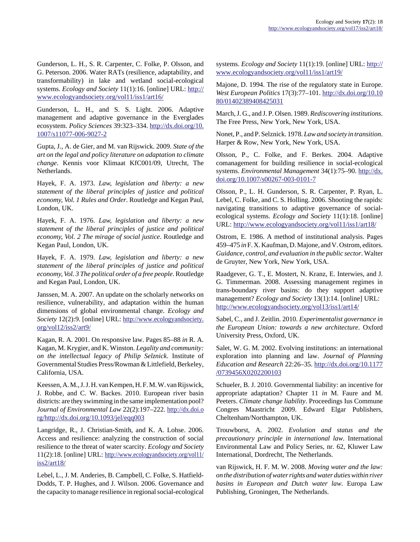Gunderson, L. H., S. R. Carpenter, C. Folke, P. Olsson, and G. Peterson. 2006. Water RATs (resilience, adaptability, and transformability) in lake and wetland social-ecological systems. *Ecology and Society* 11(1):16. [online] URL: [http://](http://www.ecologyandsociety.org/vol11/iss1/art16/) [www.ecologyandsociety.org/vol11/iss1/art16/](http://www.ecologyandsociety.org/vol11/iss1/art16/)

Gunderson, L. H., and S. S. Light. 2006. Adaptive management and adaptive governance in the Everglades ecosystem. *Policy Sciences* 39:323–334. [http://dx.doi.org/10.](http://dx.doi.org/10.1007/s11077-006-9027-2) [1007/s11077-006-9027-2](http://dx.doi.org/10.1007/s11077-006-9027-2)

Gupta, J., A. de Gier, and M. van Rijswick. 2009. *State of the art on the legal and policy literature on adaptation to climate change*. Kennis voor Klimaat KfC001/09, Utrecht, The Netherlands.

Hayek, F. A. 1973. *Law, legislation and liberty: a new statement of the liberal principles of justice and political economy, Vol. 1 Rules and Order*. Routledge and Kegan Paul, London, UK.

Hayek, F. A. 1976. *Law, legislation and liberty: a new statement of the liberal principles of justice and political economy, Vol. 2 The mirage of social justice*. Routledge and Kegan Paul, London, UK.

Hayek, F. A. 1979. *Law, legislation and liberty: a new statement of the liberal principles of justice and political economy, Vol. 3 The political order of a free people*. Routledge and Kegan Paul, London, UK.

Janssen, M. A. 2007. An update on the scholarly networks on resilience, vulnerability, and adaptation within the human dimensions of global environmental change. *Ecology and Society* 12(2):9. [online] URL: [http://www.ecologyandsociety.](http://www.ecologyandsociety.org/vol12/iss2/art9/) [org/vol12/iss2/art9/](http://www.ecologyandsociety.org/vol12/iss2/art9/)

Kagan, R. A. 2001. On responsive law. Pages 85–88 *in* R. A. Kagan, M. Krygier, and K. Winston. *Legality and community: on the intellectual legacy of Philip Selznick*. Institute of Governmental Studies Press/Rowman & Littlefield, Berkeley, California, USA.

Keessen, A. M., J. J. H. van Kempen, H. F. M. W. van Rijswick, J. Robbe, and C. W. Backes. 2010. European river basin districts: are they swimming in the same implementation pool? *Journal of Environmental Law* 22(2):197–222. [http://dx.doi.o](http://dx.doi.org/http://dx.doi.org/10.1093/jel/eqq003) [rg/http://dx.doi.org/10.1093/jel/eqq003](http://dx.doi.org/http://dx.doi.org/10.1093/jel/eqq003)

Langridge, R., J. Christian-Smith, and K. A. Lohse. 2006. Access and resilience: analyzing the construction of social resilience to the threat of water scarcity. *Ecology and Society* 11(2):18. [online] URL: [http://www.ecologyandsociety.org/vol11/](http://www.ecologyandsociety.org/vol11/iss2/art18/) [iss2/art18/](http://www.ecologyandsociety.org/vol11/iss2/art18/)

Lebel, L., J. M. Anderies, B. Campbell, C. Folke, S. Hatfield-Dodds, T. P. Hughes, and J. Wilson. 2006. Governance and the capacity to manage resilience in regional social-ecological systems. *Ecology and Society* 11(1):19. [online] URL: [http://](http://www.ecologyandsociety.org/vol11/iss1/art19/) [www.ecologyandsociety.org/vol11/iss1/art19/](http://www.ecologyandsociety.org/vol11/iss1/art19/)

Majone, D. 1994. The rise of the regulatory state in Europe. *West European Politics* 17(3):77–101. [http://dx.doi.org/10.10](http://dx.doi.org/10.1080/01402389408425031) [80/01402389408425031](http://dx.doi.org/10.1080/01402389408425031)

March, J. G., and J. P. Olsen. 1989. *Rediscovering institutions*. The Free Press, New York, New York, USA.

Nonet, P., and P. Selznick. 1978. *Law and society in transition*. Harper & Row, New York, New York, USA.

Olsson, P., C. Folke, and F. Berkes. 2004. Adaptive comanagement for building resilience in social-ecological systems. *Environmental Management* 34(1):75–90. [http://dx.](http://dx.doi.org/10.1007/s00267-003-0101-7) [doi.org/10.1007/s00267-003-0101-7](http://dx.doi.org/10.1007/s00267-003-0101-7)

Olsson, P., L. H. Gunderson, S. R. Carpenter, P. Ryan, L. Lebel, C. Folke, and C. S. Holling. 2006. Shooting the rapids: navigating transitions to adaptive governance of socialecological systems. *Ecology and Society* 11(1):18. [online] URL:<http://www.ecologyandsociety.org/vol11/iss1/art18/>

Ostrom, E. 1986. A method of institutional analysis. Pages 459–475 *in* F. X. Kaufman, D. Majone, and V. Ostrom, editors. *Guidance, control, and evaluation in the public sector*. Walter de Gruyter, New York, New York, USA.

Raadgever, G. T., E. Mostert, N. Kranz, E. Interwies, and J. G. Timmerman. 2008. Assessing management regimes in trans-boundary river basins: do they support adaptive management? *Ecology and Society* 13(1):14. [online] URL: <http://www.ecologyandsociety.org/vol13/iss1/art14/>

Sabel, C., and J. Zeitlin. 2010. *Experimentalist governance in the European Union: towards a new architecture*. Oxford University Press, Oxford, UK.

Salet, W. G. M. 2002. Evolving institutions: an international exploration into planning and law. *Journal of Planning Education and Research* 22:26–35. [http://dx.doi.org/10.1177](http://dx.doi.org/10.1177/0739456X0202200103) [/0739456X0202200103](http://dx.doi.org/10.1177/0739456X0202200103)

Schueler, B. J. 2010. Governmental liability: an incentive for appropriate adaptation? Chapter 11 *in* M. Faure and M. Peeters. *Climate change liability*. Proceedings Ius Commune Congres Maastricht 2009. Edward Elgar Publishers, Cheltenham/Northampton, UK.

Trouwborst, A. 2002. *Evolution and status and the precautionary principle in international law*. International Environmental Law and Policy Series, nr. 62, Kluwer Law International, Dordrecht, The Netherlands.

van Rijswick, H. F. M. W. 2008. *Moving water and the law: on the distribution of water rights and water duties within river basins in European and Dutch water law*. Europa Law Publishing, Groningen, The Netherlands.